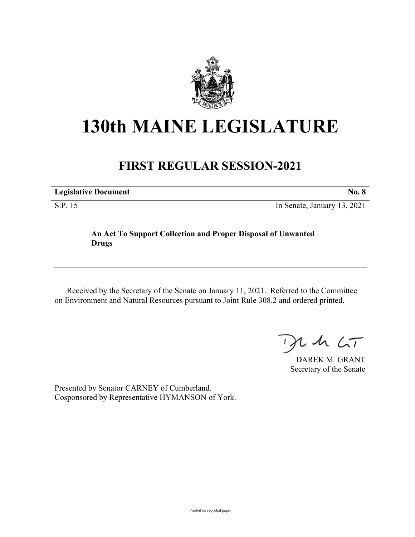

## **130th MAINE LEGISLATURE**

## **FIRST REGULAR SESSION-2021**

**Legislative Document No. 8** S.P. 15 In Senate, January 13, 2021

## **An Act To Support Collection and Proper Disposal of Unwanted Drugs**

Received by the Secretary of the Senate on January 11, 2021. Referred to the Committee on Environment and Natural Resources pursuant to Joint Rule 308.2 and ordered printed.

 $125$ 

DAREK M. GRANT Secretary of the Senate

Presented by Senator CARNEY of Cumberland. Cosponsored by Representative HYMANSON of York.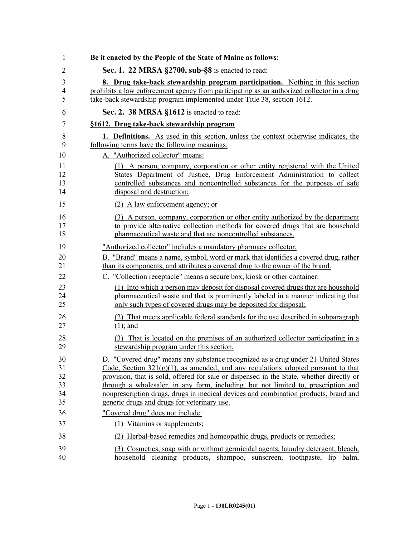| 1                        | Be it enacted by the People of the State of Maine as follows:                                                                                                                                                                                                         |
|--------------------------|-----------------------------------------------------------------------------------------------------------------------------------------------------------------------------------------------------------------------------------------------------------------------|
| $\overline{2}$           | Sec. 1. 22 MRSA §2700, sub-§8 is enacted to read:                                                                                                                                                                                                                     |
| 3<br>$\overline{4}$<br>5 | 8. Drug take-back stewardship program participation. Nothing in this section<br>prohibits a law enforcement agency from participating as an authorized collector in a drug<br>take-back stewardship program implemented under Title 38, section 1612.                 |
| 6                        | Sec. 2. 38 MRSA §1612 is enacted to read:                                                                                                                                                                                                                             |
| 7                        | §1612. Drug take-back stewardship program                                                                                                                                                                                                                             |
| 8                        | <b>1. Definitions.</b> As used in this section, unless the context otherwise indicates, the                                                                                                                                                                           |
| 9                        | following terms have the following meanings.                                                                                                                                                                                                                          |
| 10                       | A. "Authorized collector" means:                                                                                                                                                                                                                                      |
| 11<br>12<br>13<br>14     | (1) A person, company, corporation or other entity registered with the United<br>States Department of Justice, Drug Enforcement Administration to collect<br>controlled substances and noncontrolled substances for the purposes of safe<br>disposal and destruction; |
| 15                       | (2) A law enforcement agency; or                                                                                                                                                                                                                                      |
| 16<br>17<br>18           | (3) A person, company, corporation or other entity authorized by the department<br>to provide alternative collection methods for covered drugs that are household<br>pharmaceutical waste and that are noncontrolled substances.                                      |
| 19                       | "Authorized collector" includes a mandatory pharmacy collector.                                                                                                                                                                                                       |
| 20<br>21<br>22           | B. "Brand" means a name, symbol, word or mark that identifies a covered drug, rather<br>than its components, and attributes a covered drug to the owner of the brand.<br>C. "Collection receptacle" means a secure box, kiosk or other container:                     |
| 23<br>24<br>25           | (1) Into which a person may deposit for disposal covered drugs that are household<br>pharmaceutical waste and that is prominently labeled in a manner indicating that<br>only such types of covered drugs may be deposited for disposal;                              |
| 26<br>27                 | (2) That meets applicable federal standards for the use described in subparagraph<br>$(1)$ ; and                                                                                                                                                                      |
| 28<br>29                 | (3) That is located on the premises of an authorized collector participating in a<br>stewardship program under this section.                                                                                                                                          |
| 30<br>31<br>32           | D. "Covered drug" means any substance recognized as a drug under 21 United States<br>Code, Section $321(g)(1)$ , as amended, and any regulations adopted pursuant to that<br>provision, that is sold, offered for sale or dispensed in the State, whether directly or |
| 33                       | through a wholesaler, in any form, including, but not limited to, prescription and                                                                                                                                                                                    |
| 34                       | nonprescription drugs, drugs in medical devices and combination products, brand and                                                                                                                                                                                   |
| 35                       | generic drugs and drugs for veterinary use.                                                                                                                                                                                                                           |
| 36                       | "Covered drug" does not include:                                                                                                                                                                                                                                      |
| 37                       | (1) Vitamins or supplements;                                                                                                                                                                                                                                          |
| 38                       | (2) Herbal-based remedies and homeopathic drugs, products or remedies;                                                                                                                                                                                                |
| 39<br>40                 | (3) Cosmetics, soap with or without germicidal agents, laundry detergent, bleach,<br>household cleaning products, shampoo, sunscreen, toothpaste, lip balm,                                                                                                           |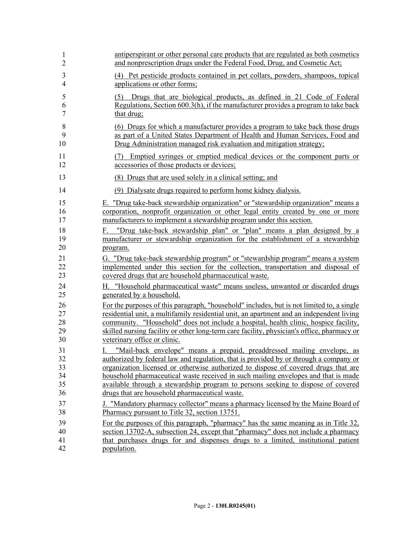| 1                                | antiperspirant or other personal care products that are regulated as both cosmetics                                                                                                                                                                                                                                                                                                                                                                                                      |
|----------------------------------|------------------------------------------------------------------------------------------------------------------------------------------------------------------------------------------------------------------------------------------------------------------------------------------------------------------------------------------------------------------------------------------------------------------------------------------------------------------------------------------|
| $\overline{2}$                   | and nonprescription drugs under the Federal Food, Drug, and Cosmetic Act;                                                                                                                                                                                                                                                                                                                                                                                                                |
| $\mathfrak{Z}$                   | (4) Pet pesticide products contained in pet collars, powders, shampoos, topical                                                                                                                                                                                                                                                                                                                                                                                                          |
| $\overline{4}$                   | applications or other forms;                                                                                                                                                                                                                                                                                                                                                                                                                                                             |
| 5<br>6<br>$\overline{7}$         | Drugs that are biological products, as defined in 21 Code of Federal<br>(5)<br>Regulations, Section 600.3(h), if the manufacturer provides a program to take back<br>that drug;                                                                                                                                                                                                                                                                                                          |
| 8                                | (6) Drugs for which a manufacturer provides a program to take back those drugs                                                                                                                                                                                                                                                                                                                                                                                                           |
| 9                                | as part of a United States Department of Health and Human Services, Food and                                                                                                                                                                                                                                                                                                                                                                                                             |
| 10                               | Drug Administration managed risk evaluation and mitigation strategy;                                                                                                                                                                                                                                                                                                                                                                                                                     |
| 11<br>12                         | Emptied syringes or emptied medical devices or the component parts or<br>(7)<br>accessories of those products or devices;                                                                                                                                                                                                                                                                                                                                                                |
| 13                               | (8) Drugs that are used solely in a clinical setting; and                                                                                                                                                                                                                                                                                                                                                                                                                                |
| 14                               | (9) Dialysate drugs required to perform home kidney dialysis.                                                                                                                                                                                                                                                                                                                                                                                                                            |
| 15                               | E. "Drug take-back stewardship organization" or "stewardship organization" means a                                                                                                                                                                                                                                                                                                                                                                                                       |
| 16                               | corporation, nonprofit organization or other legal entity created by one or more                                                                                                                                                                                                                                                                                                                                                                                                         |
| 17                               | manufacturers to implement a stewardship program under this section.                                                                                                                                                                                                                                                                                                                                                                                                                     |
| 18                               | F. "Drug take-back stewardship plan" or "plan" means a plan designed by a                                                                                                                                                                                                                                                                                                                                                                                                                |
| 19                               | manufacturer or stewardship organization for the establishment of a stewardship                                                                                                                                                                                                                                                                                                                                                                                                          |
| 20                               | program.                                                                                                                                                                                                                                                                                                                                                                                                                                                                                 |
| 21                               | G. "Drug take-back stewardship program" or "stewardship program" means a system                                                                                                                                                                                                                                                                                                                                                                                                          |
| 22                               | implemented under this section for the collection, transportation and disposal of                                                                                                                                                                                                                                                                                                                                                                                                        |
| 23                               | covered drugs that are household pharmaceutical waste.                                                                                                                                                                                                                                                                                                                                                                                                                                   |
| 24                               | H. "Household pharmaceutical waste" means useless, unwanted or discarded drugs                                                                                                                                                                                                                                                                                                                                                                                                           |
| 25                               | generated by a household.                                                                                                                                                                                                                                                                                                                                                                                                                                                                |
| 26                               | For the purposes of this paragraph, "household" includes, but is not limited to, a single                                                                                                                                                                                                                                                                                                                                                                                                |
| 27                               | residential unit, a multifamily residential unit, an apartment and an independent living                                                                                                                                                                                                                                                                                                                                                                                                 |
| 28                               | community. "Household" does not include a hospital, health clinic, hospice facility,                                                                                                                                                                                                                                                                                                                                                                                                     |
| 29                               | skilled nursing facility or other long-term care facility, physician's office, pharmacy or                                                                                                                                                                                                                                                                                                                                                                                               |
| 30                               | veterinary office or clinic.                                                                                                                                                                                                                                                                                                                                                                                                                                                             |
| 31<br>32<br>33<br>34<br>35<br>36 | "Mail-back envelope" means a prepaid, preaddressed mailing envelope, as<br>L.<br>authorized by federal law and regulation, that is provided by or through a company or<br>organization licensed or otherwise authorized to dispose of covered drugs that are<br>household pharmaceutical waste received in such mailing envelopes and that is made<br>available through a stewardship program to persons seeking to dispose of covered<br>drugs that are household pharmaceutical waste. |
| 37                               | J. "Mandatory pharmacy collector" means a pharmacy licensed by the Maine Board of                                                                                                                                                                                                                                                                                                                                                                                                        |
| 38                               | Pharmacy pursuant to Title 32, section 13751.                                                                                                                                                                                                                                                                                                                                                                                                                                            |
| 39                               | For the purposes of this paragraph, "pharmacy" has the same meaning as in Title 32,                                                                                                                                                                                                                                                                                                                                                                                                      |
| 40                               | section 13702-A, subsection 24, except that "pharmacy" does not include a pharmacy                                                                                                                                                                                                                                                                                                                                                                                                       |
| 41                               | that purchases drugs for and dispenses drugs to a limited, institutional patient                                                                                                                                                                                                                                                                                                                                                                                                         |
| 42                               | population.                                                                                                                                                                                                                                                                                                                                                                                                                                                                              |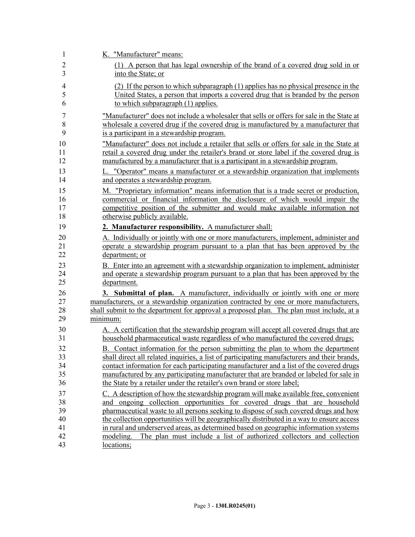| $\mathbf{1}$   | K. "Manufacturer" means:                                                                             |
|----------------|------------------------------------------------------------------------------------------------------|
| $\overline{2}$ | (1) A person that has legal ownership of the brand of a covered drug sold in or                      |
| 3              | into the State; or                                                                                   |
| $\overline{4}$ | (2) If the person to which subparagraph (1) applies has no physical presence in the                  |
| 5              | United States, a person that imports a covered drug that is branded by the person                    |
| 6              | to which subparagraph (1) applies.                                                                   |
| 7              | "Manufacturer" does not include a wholesaler that sells or offers for sale in the State at           |
| 8              | wholesale a covered drug if the covered drug is manufactured by a manufacturer that                  |
| 9              | is a participant in a stewardship program.                                                           |
| 10             | "Manufacturer" does not include a retailer that sells or offers for sale in the State at             |
| 11             | retail a covered drug under the retailer's brand or store label if the covered drug is               |
| 12             | manufactured by a manufacturer that is a participant in a stewardship program.                       |
| 13             | L. "Operator" means a manufacturer or a stewardship organization that implements                     |
| 14             | and operates a stewardship program.                                                                  |
| 15             | M. "Proprietary information" means information that is a trade secret or production,                 |
| 16             | commercial or financial information the disclosure of which would impair the                         |
| 17             | competitive position of the submitter and would make available information not                       |
| 18             | otherwise publicly available.                                                                        |
| 19             | 2. Manufacturer responsibility. A manufacturer shall:                                                |
| 20             | A. Individually or jointly with one or more manufacturers, implement, administer and                 |
| 21             | operate a stewardship program pursuant to a plan that has been approved by the                       |
| 22             | department; or                                                                                       |
| 23             | B. Enter into an agreement with a stewardship organization to implement, administer                  |
| 24             | and operate a stewardship program pursuant to a plan that has been approved by the                   |
| 25             | department.                                                                                          |
| 26             | 3. Submittal of plan. A manufacturer, individually or jointly with one or more                       |
| 27<br>28       | manufacturers, or a stewardship organization contracted by one or more manufacturers,                |
| 29             | shall submit to the department for approval a proposed plan. The plan must include, at a<br>minimum: |
| 30             | A. A certification that the stewardship program will accept all covered drugs that are               |
| 31             | household pharmaceutical waste regardless of who manufactured the covered drugs;                     |
| 32             | B. Contact information for the person submitting the plan to whom the department                     |
| 33             | shall direct all related inquiries, a list of participating manufacturers and their brands,          |
| 34             | contact information for each participating manufacturer and a list of the covered drugs              |
| 35             | manufactured by any participating manufacturer that are branded or labeled for sale in               |
| 36             | the State by a retailer under the retailer's own brand or store label;                               |
| 37             | C. A description of how the stewardship program will make available free, convenient                 |
| 38             | and ongoing collection opportunities for covered drugs that are household                            |
| 39             | pharmaceutical waste to all persons seeking to dispose of such covered drugs and how                 |
| 40             | the collection opportunities will be geographically distributed in a way to ensure access            |
| 41             | in rural and underserved areas, as determined based on geographic information systems                |
| 42<br>43       | modeling.<br>The plan must include a list of authorized collectors and collection<br>locations;      |
|                |                                                                                                      |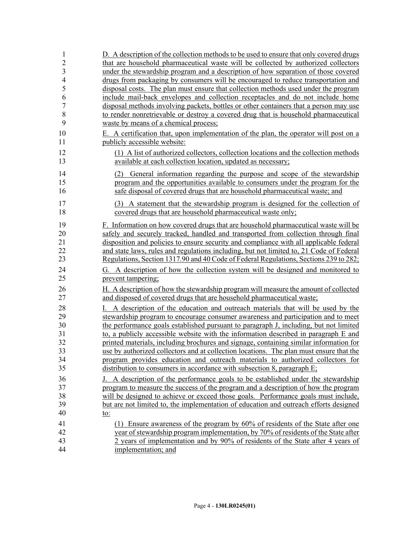| 1              | D. A description of the collection methods to be used to ensure that only covered drugs |
|----------------|-----------------------------------------------------------------------------------------|
| $\overline{2}$ | that are household pharmaceutical waste will be collected by authorized collectors      |
| 3              | under the stewardship program and a description of how separation of those covered      |
| $\overline{4}$ | drugs from packaging by consumers will be encouraged to reduce transportation and       |
| 5              | disposal costs. The plan must ensure that collection methods used under the program     |
| 6              | include mail-back envelopes and collection receptacles and do not include home          |
| $\overline{7}$ | disposal methods involving packets, bottles or other containers that a person may use   |
| 8              | to render nonretrievable or destroy a covered drug that is household pharmaceutical     |
| 9              | waste by means of a chemical process;                                                   |
| 10             | E. A certification that, upon implementation of the plan, the operator will post on a   |
| 11             | publicly accessible website:                                                            |
| 12             | (1) A list of authorized collectors, collection locations and the collection methods    |
| 13             | available at each collection location, updated as necessary;                            |
| 14             | General information regarding the purpose and scope of the stewardship<br>(2)           |
| 15             | program and the opportunities available to consumers under the program for the          |
| 16             | safe disposal of covered drugs that are household pharmaceutical waste; and             |
| 17             | (3) A statement that the stewardship program is designed for the collection of          |
| 18             | covered drugs that are household pharmaceutical waste only;                             |
| 19             | F. Information on how covered drugs that are household pharmaceutical waste will be     |
| 20             | safely and securely tracked, handled and transported from collection through final      |
| 21             | disposition and policies to ensure security and compliance with all applicable federal  |
| 22             | and state laws, rules and regulations including, but not limited to, 21 Code of Federal |
| 23             | Regulations, Section 1317.90 and 40 Code of Federal Regulations, Sections 239 to 282;   |
| 24             | G. A description of how the collection system will be designed and monitored to         |
| 25             | prevent tampering;                                                                      |
| 26             | H. A description of how the stewardship program will measure the amount of collected    |
| 27             | and disposed of covered drugs that are household pharmaceutical waste;                  |
| 28             | I. A description of the education and outreach materials that will be used by the       |
| 29             | stewardship program to encourage consumer awareness and participation and to meet       |
| 30             | the performance goals established pursuant to paragraph J, including, but not limited   |
| 31             | to, a publicly accessible website with the information described in paragraph E and     |
| 32             | printed materials, including brochures and signage, containing similar information for  |
| 33             | use by authorized collectors and at collection locations. The plan must ensure that the |
| 34             | program provides education and outreach materials to authorized collectors for          |
| 35             | distribution to consumers in accordance with subsection 8, paragraph $E$ ;              |
| 36             | J. A description of the performance goals to be established under the stewardship       |
| 37             | program to measure the success of the program and a description of how the program      |
| 38             | will be designed to achieve or exceed those goals. Performance goals must include,      |
| 39             | but are not limited to, the implementation of education and outreach efforts designed   |
| 40             | <u>to:</u>                                                                              |
| 41             | (1) Ensure awareness of the program by 60% of residents of the State after one          |
| 42             | year of stewardship program implementation, by 70% of residents of the State after      |
| 43             | 2 years of implementation and by 90% of residents of the State after 4 years of         |
| 44             | implementation; and                                                                     |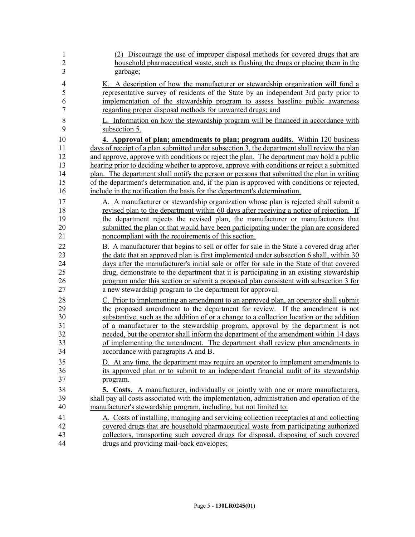| 1<br>$\overline{2}$      | (2) Discourage the use of improper disposal methods for covered drugs that are<br>household pharmaceutical waste, such as flushing the drugs or placing them in the                                                                                                       |
|--------------------------|---------------------------------------------------------------------------------------------------------------------------------------------------------------------------------------------------------------------------------------------------------------------------|
| 3                        | garbage;                                                                                                                                                                                                                                                                  |
| $\overline{4}$<br>5<br>6 | K. A description of how the manufacturer or stewardship organization will fund a<br>representative survey of residents of the State by an independent 3rd party prior to<br>implementation of the stewardship program to assess baseline public awareness                 |
| $\overline{7}$           | regarding proper disposal methods for unwanted drugs; and                                                                                                                                                                                                                 |
| 8                        | L. Information on how the stewardship program will be financed in accordance with                                                                                                                                                                                         |
| 9                        | subsection 5.                                                                                                                                                                                                                                                             |
| 10<br>11<br>12           | 4. Approval of plan; amendments to plan; program audits. Within 120 business<br>days of receipt of a plan submitted under subsection 3, the department shall review the plan<br>and approve, approve with conditions or reject the plan. The department may hold a public |
| 13                       | hearing prior to deciding whether to approve, approve with conditions or reject a submitted                                                                                                                                                                               |
| 14<br>15                 | plan. The department shall notify the person or persons that submitted the plan in writing<br>of the department's determination and, if the plan is approved with conditions or rejected,                                                                                 |
| 16                       | include in the notification the basis for the department's determination.                                                                                                                                                                                                 |
| 17                       | A. A manufacturer or stewardship organization whose plan is rejected shall submit a                                                                                                                                                                                       |
| 18                       | revised plan to the department within 60 days after receiving a notice of rejection. If                                                                                                                                                                                   |
| 19<br>20                 | the department rejects the revised plan, the manufacturer or manufacturers that<br>submitted the plan or that would have been participating under the plan are considered                                                                                                 |
| 21                       | noncompliant with the requirements of this section.                                                                                                                                                                                                                       |
| 22                       | B. A manufacturer that begins to sell or offer for sale in the State a covered drug after                                                                                                                                                                                 |
| 23                       | the date that an approved plan is first implemented under subsection 6 shall, within 30                                                                                                                                                                                   |
| 24                       | days after the manufacturer's initial sale or offer for sale in the State of that covered                                                                                                                                                                                 |
| 25                       | drug, demonstrate to the department that it is participating in an existing stewardship                                                                                                                                                                                   |
| 26                       | program under this section or submit a proposed plan consistent with subsection 3 for                                                                                                                                                                                     |
| 27                       | a new stewardship program to the department for approval.                                                                                                                                                                                                                 |
| 28                       | C. Prior to implementing an amendment to an approved plan, an operator shall submit                                                                                                                                                                                       |
| 29                       | the proposed amendment to the department for review. If the amendment is not                                                                                                                                                                                              |
| 30                       | substantive, such as the addition of or a change to a collection location or the addition                                                                                                                                                                                 |
| 31                       | of a manufacturer to the stewardship program, approval by the department is not                                                                                                                                                                                           |
| 32<br>33                 | needed, but the operator shall inform the department of the amendment within 14 days<br>of implementing the amendment. The department shall review plan amendments in                                                                                                     |
| 34                       | accordance with paragraphs A and B                                                                                                                                                                                                                                        |
| 35                       | D. At any time, the department may require an operator to implement amendments to                                                                                                                                                                                         |
| 36                       | its approved plan or to submit to an independent financial audit of its stewardship                                                                                                                                                                                       |
| 37                       | program.                                                                                                                                                                                                                                                                  |
| 38                       | <b>5. Costs.</b> A manufacturer, individually or jointly with one or more manufacturers,                                                                                                                                                                                  |
| 39                       | shall pay all costs associated with the implementation, administration and operation of the                                                                                                                                                                               |
| 40                       | manufacturer's stewardship program, including, but not limited to:                                                                                                                                                                                                        |
| 41                       | A. Costs of installing, managing and servicing collection receptacles at and collecting                                                                                                                                                                                   |
| 42                       | covered drugs that are household pharmaceutical waste from participating authorized                                                                                                                                                                                       |
| 43                       | collectors, transporting such covered drugs for disposal, disposing of such covered                                                                                                                                                                                       |
| 44                       | drugs and providing mail-back envelopes;                                                                                                                                                                                                                                  |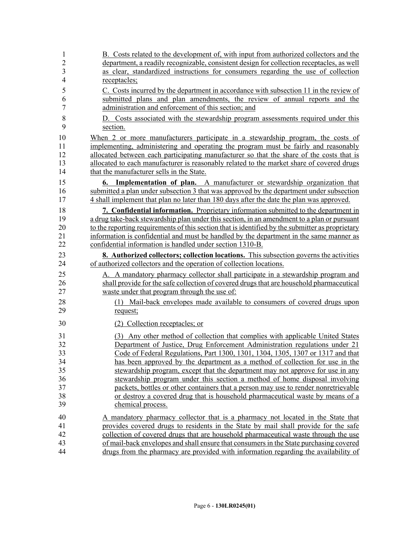| 1<br>$\overline{2}$ | B. Costs related to the development of, with input from authorized collectors and the<br>department, a readily recognizable, consistent design for collection receptacles, as well |
|---------------------|------------------------------------------------------------------------------------------------------------------------------------------------------------------------------------|
| 3                   | as clear, standardized instructions for consumers regarding the use of collection                                                                                                  |
| $\overline{4}$      | receptacles;                                                                                                                                                                       |
| 5                   | C. Costs incurred by the department in accordance with subsection 11 in the review of                                                                                              |
| 6                   | submitted plans and plan amendments, the review of annual reports and the                                                                                                          |
| 7                   | administration and enforcement of this section; and                                                                                                                                |
| 8                   | D. Costs associated with the stewardship program assessments required under this                                                                                                   |
| 9                   | section.                                                                                                                                                                           |
| 10                  | When 2 or more manufacturers participate in a stewardship program, the costs of                                                                                                    |
| 11                  | implementing, administering and operating the program must be fairly and reasonably                                                                                                |
| 12                  | allocated between each participating manufacturer so that the share of the costs that is                                                                                           |
| 13                  | allocated to each manufacturer is reasonably related to the market share of covered drugs                                                                                          |
| 14                  | that the manufacturer sells in the State.                                                                                                                                          |
| 15                  | <b>6. Implementation of plan.</b> A manufacturer or stewardship organization that                                                                                                  |
| 16                  | submitted a plan under subsection 3 that was approved by the department under subsection                                                                                           |
| 17                  | 4 shall implement that plan no later than 180 days after the date the plan was approved.                                                                                           |
| 18                  | 7. Confidential information. Proprietary information submitted to the department in                                                                                                |
| 19                  | a drug take-back stewardship plan under this section, in an amendment to a plan or pursuant                                                                                        |
| 20                  | to the reporting requirements of this section that is identified by the submitter as proprietary                                                                                   |
| 21                  | information is confidential and must be handled by the department in the same manner as                                                                                            |
| 22                  | confidential information is handled under section 1310-B.                                                                                                                          |
| 23                  | <b>8.</b> Authorized collectors; collection locations. This subsection governs the activities                                                                                      |
| 24                  | of authorized collectors and the operation of collection locations.                                                                                                                |
| 25                  | A. A mandatory pharmacy collector shall participate in a stewardship program and                                                                                                   |
| 26                  | shall provide for the safe collection of covered drugs that are household pharmaceutical                                                                                           |
| 27                  | waste under that program through the use of:                                                                                                                                       |
| 28                  | (1) Mail-back envelopes made available to consumers of covered drugs upon                                                                                                          |
| 29                  | request;                                                                                                                                                                           |
| 30                  | (2) Collection receptacles; or                                                                                                                                                     |
| 31                  | Any other method of collection that complies with applicable United States<br>(3)                                                                                                  |
| 32                  | Department of Justice, Drug Enforcement Administration regulations under 21                                                                                                        |
| 33                  | Code of Federal Regulations, Part 1300, 1301, 1304, 1305, 1307 or 1317 and that                                                                                                    |
| 34                  | has been approved by the department as a method of collection for use in the                                                                                                       |
| 35                  | stewardship program, except that the department may not approve for use in any                                                                                                     |
| 36                  | stewardship program under this section a method of home disposal involving                                                                                                         |
| 37                  | packets, bottles or other containers that a person may use to render nonretrievable                                                                                                |
| 38                  | or destroy a covered drug that is household pharmaceutical waste by means of a                                                                                                     |
| 39                  | chemical process.                                                                                                                                                                  |
| 40                  | A mandatory pharmacy collector that is a pharmacy not located in the State that                                                                                                    |
| 41                  | provides covered drugs to residents in the State by mail shall provide for the safe                                                                                                |
| 42                  | collection of covered drugs that are household pharmaceutical waste through the use                                                                                                |
| 43                  | of mail-back envelopes and shall ensure that consumers in the State purchasing covered                                                                                             |
| 44                  | drugs from the pharmacy are provided with information regarding the availability of                                                                                                |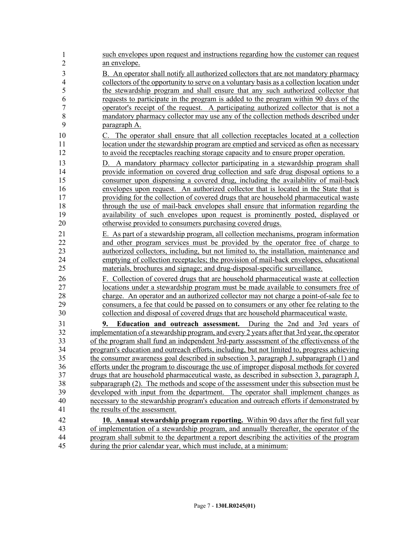| $\mathbf{1}$<br>$\overline{2}$ | such envelopes upon request and instructions regarding how the customer can request<br>an envelope.                                                                                   |
|--------------------------------|---------------------------------------------------------------------------------------------------------------------------------------------------------------------------------------|
| 3                              | B. An operator shall notify all authorized collectors that are not mandatory pharmacy                                                                                                 |
| $\overline{4}$                 | collectors of the opportunity to serve on a voluntary basis as a collection location under                                                                                            |
| 5                              | the stewardship program and shall ensure that any such authorized collector that                                                                                                      |
| 6                              | requests to participate in the program is added to the program within 90 days of the                                                                                                  |
| $\overline{7}$                 | operator's receipt of the request. A participating authorized collector that is not a                                                                                                 |
| 8                              | mandatory pharmacy collector may use any of the collection methods described under                                                                                                    |
| 9                              | paragraph A.                                                                                                                                                                          |
| 10                             | C. The operator shall ensure that all collection receptacles located at a collection                                                                                                  |
| 11                             | location under the stewardship program are emptied and serviced as often as necessary                                                                                                 |
| 12                             | to avoid the receptacles reaching storage capacity and to ensure proper operation.                                                                                                    |
| 13                             | D. A mandatory pharmacy collector participating in a stewardship program shall                                                                                                        |
| 14                             | provide information on covered drug collection and safe drug disposal options to a                                                                                                    |
| 15                             | consumer upon dispensing a covered drug, including the availability of mail-back                                                                                                      |
| 16                             | envelopes upon request. An authorized collector that is located in the State that is                                                                                                  |
| 17                             | providing for the collection of covered drugs that are household pharmaceutical waste                                                                                                 |
| 18                             | through the use of mail-back envelopes shall ensure that information regarding the                                                                                                    |
| 19                             | availability of such envelopes upon request is prominently posted, displayed or                                                                                                       |
| 20                             | otherwise provided to consumers purchasing covered drugs.                                                                                                                             |
| 21                             | E. As part of a stewardship program, all collection mechanisms, program information                                                                                                   |
| 22                             | and other program services must be provided by the operator free of charge to                                                                                                         |
| 23                             | authorized collectors, including, but not limited to, the installation, maintenance and                                                                                               |
| 24<br>25                       | emptying of collection receptacles; the provision of mail-back envelopes, educational<br>materials, brochures and signage; and drug-disposal-specific surveillance.                   |
| 26                             | F. Collection of covered drugs that are household pharmaceutical waste at collection                                                                                                  |
| 27                             | locations under a stewardship program must be made available to consumers free of                                                                                                     |
| 28                             | charge. An operator and an authorized collector may not charge a point-of-sale fee to                                                                                                 |
| 29                             | consumers, a fee that could be passed on to consumers or any other fee relating to the                                                                                                |
| 30                             | collection and disposal of covered drugs that are household pharmaceutical waste.                                                                                                     |
| 31                             | Education and outreach assessment. During the 2nd and 3rd years of<br>9.                                                                                                              |
| 32                             | implementation of a stewardship program, and every 2 years after that 3rd year, the operator                                                                                          |
| 33                             | of the program shall fund an independent 3rd-party assessment of the effectiveness of the                                                                                             |
| 34                             | program's education and outreach efforts, including, but not limited to, progress achieving                                                                                           |
| 35                             | the consumer awareness goal described in subsection 3, paragraph J, subparagraph (1) and                                                                                              |
| 36<br>37                       | efforts under the program to discourage the use of improper disposal methods for covered<br>drugs that are household pharmaceutical waste, as described in subsection 3, paragraph J, |
| 38                             | subparagraph (2). The methods and scope of the assessment under this subsection must be                                                                                               |
| 39                             | developed with input from the department. The operator shall implement changes as                                                                                                     |
| 40                             | necessary to the stewardship program's education and outreach efforts if demonstrated by                                                                                              |
| 41                             | the results of the assessment.                                                                                                                                                        |
| 42                             |                                                                                                                                                                                       |
| 43                             | <b>10. Annual stewardship program reporting.</b> Within 90 days after the first full year<br>of implementation of a stewardship program, and annually thereafter, the operator of the |
| 44                             | program shall submit to the department a report describing the activities of the program                                                                                              |
| 45                             | during the prior calendar year, which must include, at a minimum:                                                                                                                     |
|                                |                                                                                                                                                                                       |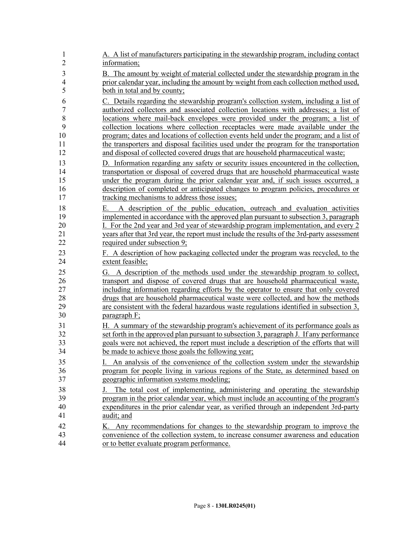| $\mathbf{1}$                     | A. A list of manufacturers participating in the stewardship program, including contact                                                                                                                                                                                                                                                                                                                                                                         |
|----------------------------------|----------------------------------------------------------------------------------------------------------------------------------------------------------------------------------------------------------------------------------------------------------------------------------------------------------------------------------------------------------------------------------------------------------------------------------------------------------------|
| $\overline{c}$                   | information;                                                                                                                                                                                                                                                                                                                                                                                                                                                   |
| $\mathfrak{Z}$                   | B. The amount by weight of material collected under the stewardship program in the                                                                                                                                                                                                                                                                                                                                                                             |
| $\overline{\mathcal{L}}$         | prior calendar year, including the amount by weight from each collection method used,                                                                                                                                                                                                                                                                                                                                                                          |
| 5                                | both in total and by county;                                                                                                                                                                                                                                                                                                                                                                                                                                   |
| 6                                | C. Details regarding the stewardship program's collection system, including a list of                                                                                                                                                                                                                                                                                                                                                                          |
| $\boldsymbol{7}$                 | authorized collectors and associated collection locations with addresses; a list of                                                                                                                                                                                                                                                                                                                                                                            |
| 8                                | locations where mail-back envelopes were provided under the program; a list of                                                                                                                                                                                                                                                                                                                                                                                 |
| 9                                | collection locations where collection receptacles were made available under the                                                                                                                                                                                                                                                                                                                                                                                |
| 10                               | program; dates and locations of collection events held under the program; and a list of                                                                                                                                                                                                                                                                                                                                                                        |
| 11                               | the transporters and disposal facilities used under the program for the transportation                                                                                                                                                                                                                                                                                                                                                                         |
| 12                               | and disposal of collected covered drugs that are household pharmaceutical waste;                                                                                                                                                                                                                                                                                                                                                                               |
| 13                               | D. Information regarding any safety or security issues encountered in the collection,                                                                                                                                                                                                                                                                                                                                                                          |
| 14                               | transportation or disposal of covered drugs that are household pharmaceutical waster                                                                                                                                                                                                                                                                                                                                                                           |
| 15                               | under the program during the prior calendar year and, if such issues occurred, a                                                                                                                                                                                                                                                                                                                                                                               |
| 16                               | description of completed or anticipated changes to program policies, procedures or                                                                                                                                                                                                                                                                                                                                                                             |
| 17                               | tracking mechanisms to address those issues;                                                                                                                                                                                                                                                                                                                                                                                                                   |
| 18<br>19<br>20<br>21<br>22       | A description of the public education, outreach and evaluation activities<br>Е.<br>implemented in accordance with the approved plan pursuant to subsection 3, paragraph<br>I. For the 2nd year and 3rd year of stewardship program implementation, and every 2<br>years after that 3rd year, the report must include the results of the 3rd-party assessment<br>required under subsection 9;                                                                   |
| 23                               | F. A description of how packaging collected under the program was recycled, to the                                                                                                                                                                                                                                                                                                                                                                             |
| 24                               | extent feasible;                                                                                                                                                                                                                                                                                                                                                                                                                                               |
| 25<br>26<br>27<br>28<br>29<br>30 | A description of the methods used under the stewardship program to collect,<br>G.<br>transport and dispose of covered drugs that are household pharmaceutical waste,<br>including information regarding efforts by the operator to ensure that only covered<br>drugs that are household pharmaceutical waste were collected, and how the methods<br>are consistent with the federal hazardous waste regulations identified in subsection 3,<br>paragraph $F$ ; |
| 31                               | H. A summary of the stewardship program's achievement of its performance goals as                                                                                                                                                                                                                                                                                                                                                                              |
| 32                               | set forth in the approved plan pursuant to subsection 3, paragraph J. If any performance                                                                                                                                                                                                                                                                                                                                                                       |
| 33                               | goals were not achieved, the report must include a description of the efforts that will                                                                                                                                                                                                                                                                                                                                                                        |
| 34                               | be made to achieve those goals the following year;                                                                                                                                                                                                                                                                                                                                                                                                             |
| 35                               | I. An analysis of the convenience of the collection system under the stewardship                                                                                                                                                                                                                                                                                                                                                                               |
| 36                               | program for people living in various regions of the State, as determined based on                                                                                                                                                                                                                                                                                                                                                                              |
| 37                               | geographic information systems modeling;                                                                                                                                                                                                                                                                                                                                                                                                                       |
| 38                               | The total cost of implementing, administering and operating the stewardship                                                                                                                                                                                                                                                                                                                                                                                    |
| 39                               | program in the prior calendar year, which must include an accounting of the program's                                                                                                                                                                                                                                                                                                                                                                          |
| 40                               | expenditures in the prior calendar year, as verified through an independent 3rd-party                                                                                                                                                                                                                                                                                                                                                                          |
| 41                               | audit; and                                                                                                                                                                                                                                                                                                                                                                                                                                                     |
| 42                               | K. Any recommendations for changes to the stewardship program to improve the                                                                                                                                                                                                                                                                                                                                                                                   |
| 43                               | convenience of the collection system, to increase consumer awareness and education                                                                                                                                                                                                                                                                                                                                                                             |
| 44                               | or to better evaluate program performance.                                                                                                                                                                                                                                                                                                                                                                                                                     |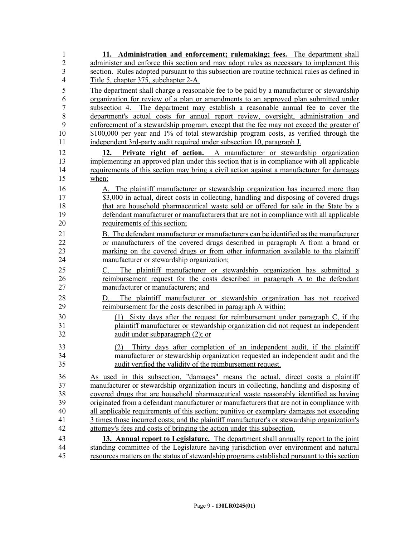| 1                   | 11. Administration and enforcement; rulemaking; fees. The department shall                   |
|---------------------|----------------------------------------------------------------------------------------------|
| $\overline{2}$      | administer and enforce this section and may adopt rules as necessary to implement this       |
| 3<br>$\overline{4}$ | section. Rules adopted pursuant to this subsection are routine technical rules as defined in |
|                     | Title 5, chapter 375, subchapter 2-A.                                                        |
| 5                   | The department shall charge a reasonable fee to be paid by a manufacturer or stewardship     |
| 6                   | organization for review of a plan or amendments to an approved plan submitted under          |
| $\boldsymbol{7}$    | subsection 4. The department may establish a reasonable annual fee to cover the              |
| $\,$ $\,$           | department's actual costs for annual report review, oversight, administration and            |
| 9                   | enforcement of a stewardship program, except that the fee may not exceed the greater of      |
| 10<br>11            | \$100,000 per year and 1% of total stewardship program costs, as verified through the        |
|                     | independent 3rd-party audit required under subsection 10, paragraph J.                       |
| 12                  | Private right of action. A manufacturer or stewardship organization<br>12.                   |
| 13                  | implementing an approved plan under this section that is in compliance with all applicable   |
| 14                  | requirements of this section may bring a civil action against a manufacturer for damages     |
| 15                  | when:                                                                                        |
| 16                  | A. The plaintiff manufacturer or stewardship organization has incurred more than             |
| 17                  | \$3,000 in actual, direct costs in collecting, handling and disposing of covered drugs       |
| 18                  | that are household pharmaceutical waste sold or offered for sale in the State by a           |
| 19                  | defendant manufacturer or manufacturers that are not in compliance with all applicable       |
| 20                  | requirements of this section;                                                                |
| 21                  | B. The defendant manufacturer or manufacturers can be identified as the manufacturer         |
| 22                  | or manufacturers of the covered drugs described in paragraph A from a brand or               |
| 23                  | marking on the covered drugs or from other information available to the plaintiff            |
| 24                  | manufacturer or stewardship organization;                                                    |
| 25                  | The plaintiff manufacturer or stewardship organization has submitted a<br>C.                 |
| 26                  | reimbursement request for the costs described in paragraph A to the defendant                |
| 27                  | manufacturer or manufacturers; and                                                           |
| 28                  | The plaintiff manufacturer or stewardship organization has not received<br>D.                |
| 29                  | reimbursement for the costs described in paragraph A within:                                 |
| 30                  | Sixty days after the request for reimbursement under paragraph C, if the<br>(1)              |
| 31                  | plaintiff manufacturer or stewardship organization did not request an independent            |
| 32                  | audit under subparagraph $(2)$ ; or                                                          |
| 33                  | Thirty days after completion of an independent audit, if the plaintiff<br>(2)                |
| 34                  | manufacturer or stewardship organization requested an independent audit and the              |
| 35                  | audit verified the validity of the reimbursement request.                                    |
| 36                  | As used in this subsection, "damages" means the actual, direct costs a plaintiff             |
| 37                  | manufacturer or stewardship organization incurs in collecting, handling and disposing of     |
| 38                  | covered drugs that are household pharmaceutical waste reasonably identified as having        |
| 39                  | originated from a defendant manufacturer or manufacturers that are not in compliance with    |
| 40                  | all applicable requirements of this section; punitive or exemplary damages not exceeding     |
| 41                  | 3 times those incurred costs; and the plaintiff manufacturer's or stewardship organization's |
| 42                  | attorney's fees and costs of bringing the action under this subsection.                      |
| 43                  | 13. Annual report to Legislature. The department shall annually report to the joint          |
| 44                  | standing committee of the Legislature having jurisdiction over environment and natural       |
| 45                  | resources matters on the status of stewardship programs established pursuant to this section |